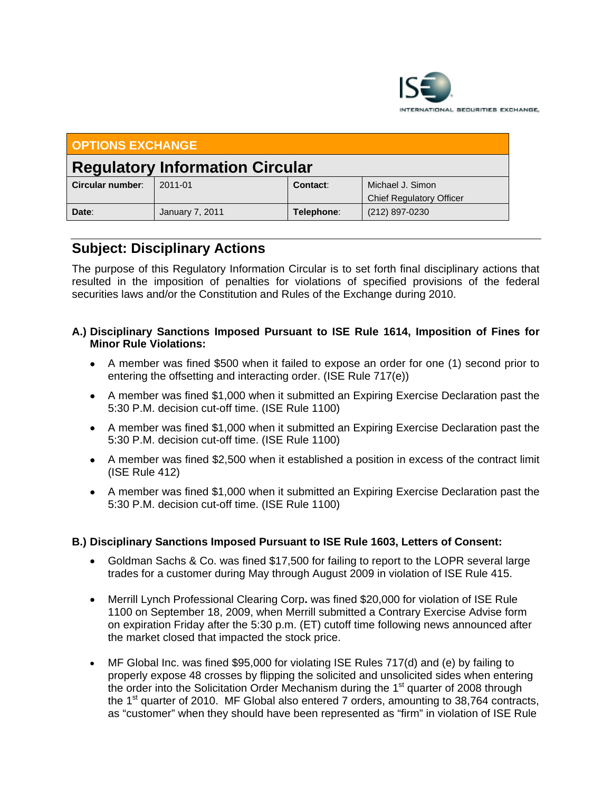

| <b>OPTIONS EXCHANGE</b>                |                        |            |                                                     |
|----------------------------------------|------------------------|------------|-----------------------------------------------------|
| <b>Regulatory Information Circular</b> |                        |            |                                                     |
| Circular number:                       | 2011-01                | Contact:   | Michael J. Simon<br><b>Chief Regulatory Officer</b> |
| Date:                                  | <b>January 7, 2011</b> | Telephone: | (212) 897-0230                                      |

## **Subject: Disciplinary Actions**

The purpose of this Regulatory Information Circular is to set forth final disciplinary actions that resulted in the imposition of penalties for violations of specified provisions of the federal securities laws and/or the Constitution and Rules of the Exchange during 2010.

## **A.) Disciplinary Sanctions Imposed Pursuant to ISE Rule 1614, Imposition of Fines for Minor Rule Violations:**

- A member was fined \$500 when it failed to expose an order for one (1) second prior to entering the offsetting and interacting order. (ISE Rule 717(e))
- A member was fined \$1,000 when it submitted an Expiring Exercise Declaration past the 5:30 P.M. decision cut-off time. (ISE Rule 1100)
- A member was fined \$1,000 when it submitted an Expiring Exercise Declaration past the 5:30 P.M. decision cut-off time. (ISE Rule 1100)
- A member was fined \$2,500 when it established a position in excess of the contract limit (ISE Rule 412)
- A member was fined \$1,000 when it submitted an Expiring Exercise Declaration past the 5:30 P.M. decision cut-off time. (ISE Rule 1100)

## **B.) Disciplinary Sanctions Imposed Pursuant to ISE Rule 1603, Letters of Consent:**

- Goldman Sachs & Co. was fined \$17,500 for failing to report to the LOPR several large trades for a customer during May through August 2009 in violation of ISE Rule 415.
- Merrill Lynch Professional Clearing Corp**.** was fined \$20,000 for violation of ISE Rule 1100 on September 18, 2009, when Merrill submitted a Contrary Exercise Advise form on expiration Friday after the 5:30 p.m. (ET) cutoff time following news announced after the market closed that impacted the stock price.
- MF Global Inc. was fined \$95,000 for violating ISE Rules 717(d) and (e) by failing to properly expose 48 crosses by flipping the solicited and unsolicited sides when entering the order into the Solicitation Order Mechanism during the  $1<sup>st</sup>$  quarter of 2008 through the  $1<sup>st</sup>$  quarter of 2010. MF Global also entered 7 orders, amounting to 38,764 contracts, as "customer" when they should have been represented as "firm" in violation of ISE Rule